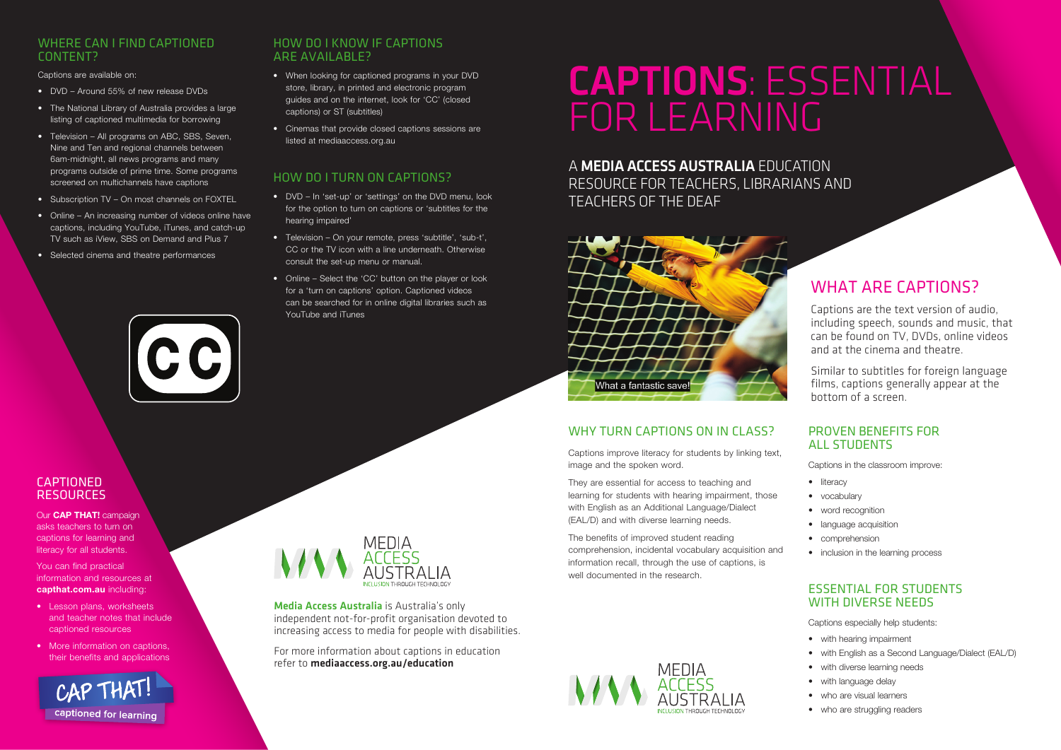#### WHY TURN CAPTIONS ON IN CLASS?

Captions improve literacy for students by linking text, image and the spoken word.

They are essential for access to teaching and learning for students with hearing impairment, those with English as an Additional Language/Dialect (EAL/D) and with diverse learning needs.

- with hearing impairment
- with English as a Second Language/Dialect (EAL/D)
- with diverse learning needs
- with language delay
- who are visual learners
- who are struggling readers

The benefits of improved student reading comprehension, incidental vocabulary acquisition and information recall, through the use of captions, is well documented in the research.





#### **CAPTIONED RESOURCES**

# FOR LEARNING CAPTIONS: ESSENTIAL

#### PROVEN BENEFITS FOR ALL STUDENTS

Captions in the classroom improve:

- literacy
- vocabulary
- word recognition
- language acquisition
- comprehension
- inclusion in the learning process

#### ESSENTIAL FOR STUDENTS WITH DIVERSE NEEDS

Captions especially help students:

#### A MEDIA ACCESS AUSTRALIA EDUCATION

RESOURCE FOR TEACHERS, LIBRARIANS AND TEACHERS OF THE DEAF



### WHAT ARE CAPTIONS?

Captions are the text version of audio, including speech, sounds and music, that can be found on TV, DVDs, online videos and at the cinema and theatre.

Similar to subtitles for foreign language films, captions generally appear at the bottom of a screen.

#### WHERE CAN I FIND CAPTIONED CONTENT?

Captions are available on:

- DVD Around 55% of new release DVDs
- The National Library of Australia provides a large listing of captioned multimedia for borrowing
- Television All programs on ABC, SBS, Seven, Nine and Ten and regional channels between 6am-midnight, all news programs and many programs outside of prime time. Some programs screened on multichannels have captions
- Subscription TV On most channels on FOXTEL
- Online An increasing number of videos online have captions, including YouTube, iTunes, and catch-up TV such as iView, SBS on Demand and Plus 7
- Selected cinema and theatre performances

#### HOW DO I KNOW IF CAPTIONS ARE AVAILABLE?

- When looking for captioned programs in your DVD store, library, in printed and electronic program guides and on the internet, look for 'CC' (closed captions) or ST (subtitles)
- Cinemas that provide closed captions sessions are listed at mediaaccess.org.au

#### HOW DO I TURN ON CAPTIONS?

- DVD In 'set-up' or 'settings' on the DVD menu, look for the option to turn on captions or 'subtitles for the hearing impaired'
- Television On your remote, press 'subtitle', 'sub-t', CC or the TV icon with a line underneath. Otherwise consult the set-up menu or manual.
- Online Select the 'CC' button on the player or look for a 'turn on captions' option. Captioned videos can be searched for in online digital libraries such as YouTube and iTunes

Media Access Australia is Australia's only independent not-for-profit organisation devoted to increasing access to media for people with disabilities.

For more information about captions in education refer to mediaaccess.org.au/education

Our **CAP THAT!** campaign asks teachers to turn on captions for learning and literacy for all students.

You can find practical information and resources at **capthat.com.au** including:

- Lesson plans, worksheets and teacher notes that include captioned resources
- More information on captions. their benefits and applications